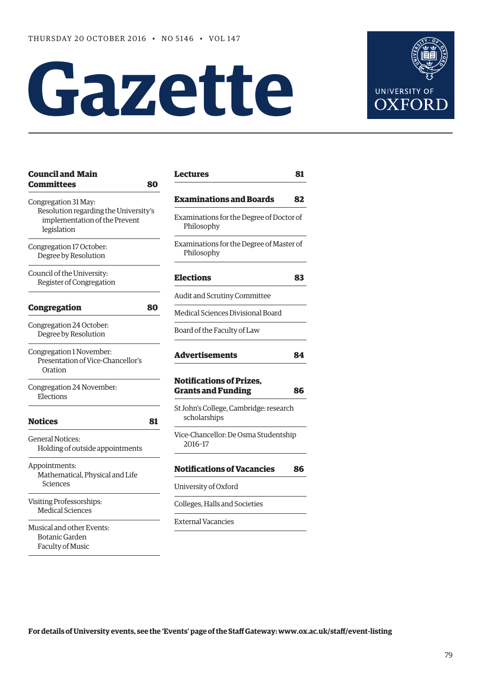# **Gazette**



| <b>Committees</b>                                                                                             | 80 |
|---------------------------------------------------------------------------------------------------------------|----|
| Congregation 31 May:<br>Resolution regarding the University's<br>implementation of the Prevent<br>legislation |    |
| Congregation 17 October:<br>Degree by Resolution                                                              |    |
| Council of the University:<br>Register of Congregation                                                        |    |
| <b>Congregation</b>                                                                                           | 80 |
| Congregation 24 October:<br>Degree by Resolution                                                              |    |
| Congregation 1 November:<br>Presentation of Vice-Chancellor's<br>Oration                                      |    |
| Congregation 24 November:<br>Elections                                                                        |    |
| <b>Notices</b>                                                                                                | 81 |
| General Notices:<br>Holding of outside appointments                                                           |    |
| Appointments:<br>Mathematical, Physical and Life<br>Sciences                                                  |    |
| <b>Visiting Professorships:</b><br><b>Medical Sciences</b>                                                    |    |
| Musical and other Events:<br><b>Botanic Garden</b><br>Faculty of Music                                        |    |

**[Council and Main](#page-1-0)** 

| <b>Lectures</b>                                                                     | 81             |
|-------------------------------------------------------------------------------------|----------------|
| <b>Examinations and Boards</b>                                                      | 82             |
| Examinations for the Degree of Doctor of<br>Philosophy                              |                |
| Examinations for the Degree of Master of<br>Philosophy                              |                |
| <b>Elections</b>                                                                    | 83             |
| Audit and Scrutiny Committee                                                        |                |
| Medical Sciences Divisional Board                                                   |                |
| Board of the Faculty of Law                                                         |                |
| <b>Advertisements</b>                                                               |                |
| <b>Notifications of Prizes,</b>                                                     |                |
| <b>Grants and Funding</b><br>St John's College, Cambridge: research<br>scholarships |                |
| Vice-Chancellor: De Osma Studentship<br>2016-17                                     |                |
| <b>Notifications of Vacancies</b>                                                   |                |
| University of Oxford                                                                |                |
| Colleges, Halls and Societies                                                       | 84<br>86<br>86 |

**For details of University events, see the 'Events' page of the Staff Gateway: [www.ox.ac.uk/staff/event-listing](http://www.ox.ac.uk/staff/event-listing)**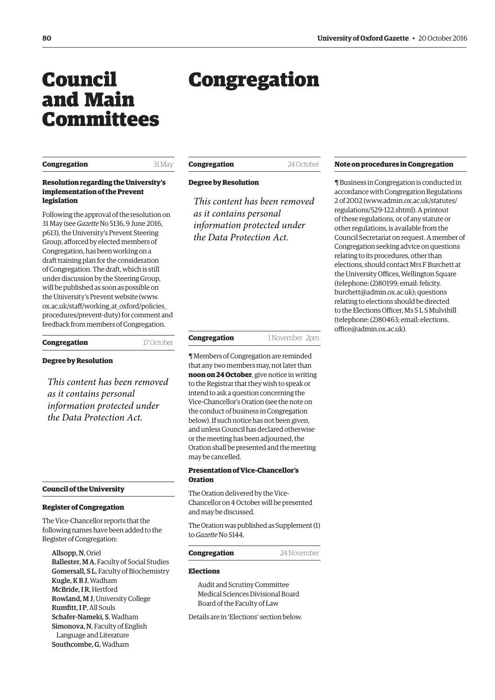## <span id="page-1-0"></span>Council and Main Committees

#### **Congregation** 31 May

**Resolution regarding the University's implementation of the Prevent legislation**

Following the approval of the resolution on 31 May (see *Gazette* [No 5136, 9 June 2016,](http://www.ox.ac.uk/gazette/2015-2016/9june2016-no5136/councilandmaincommittees/#prevent) p613), the University's Prevent Steering Group, afforced by elected members of Congregation, has been working on a draft training plan for the consideration of Congregation. The draft, which is still under discussion by the Steering Group, will be published as soon as possible on the University's Prevent website ([www.](http://www.ox.ac.uk/staff/working_at_oxford/policies_procedures/prevent-duty) [ox.ac.uk/staff/working\\_at\\_oxford/policies\\_](http://www.ox.ac.uk/staff/working_at_oxford/policies_procedures/prevent-duty) [procedures/prevent-duty\) fo](http://www.ox.ac.uk/staff/working_at_oxford/policies_procedures/prevent-duty)r comment and feedback from members of Congregation.

#### **Congregation** 17 October

#### **Degree by Resolution**

*This content has been removed as it contains personal information protected under the Data Protection Act.*

#### **Council of the University**

#### **Register of Congregation**

The Vice-Chancellor reports that the following names have been added to the Register of Congregation:

Allsopp, N, Oriel Ballester, M A, Faculty of Social Studies Gomersall, S L, Faculty of Biochemistry Kugle, K B J, Wadham McBride, I R, Hertford Rowland, M J, University College Rumfitt, I P, All Souls Schafer-Nameki, S, Wadham Simonova, N, Faculty of English Language and Literature Southcombe, G, Wadham

Congregation

#### **Degree by Resolution**

*This content has been removed as it contains personal information protected under the Data Protection Act.*

#### **Congregation** 1 November 2pm

¶ Members of Congregation are reminded that any two members may, not later than **noon on 24 October**, give notice in writing to the Registrar that they wish to speak or intend to ask a question concerning the Vice-Chancellor's Oration (see the note on the conduct of business in Congregation below). If such notice has not been given, and unless Council has declared otherwise or the meeting has been adjourned, the Oration shall be presented and the meeting may be cancelled.

#### **Presentation of Vice-Chancellor's Oration**

The Oration delivered by the Vice-Chancellor on 4 October will be presented and may be discussed.

[The Oration was published as Supplement \(1\)](http://www.ox.ac.uk/media/global/wwwoxacuk/localsites/gazette/documents/supplements2016-17/Vice-Chancellor)  to *Gazette* No 5144.

#### **Congregation** 24 November

#### **Elections**

Audit and Scrutiny Committee Medical Sciences Divisional Board Board of the Faculty of Law

Details are in 'Elections' section below.

#### **Note on procedures in Congregation**

¶ Business in Congregation is conducted in accordance with Congregation Regulations 2 of 2002 [\(www.admin.ox.ac.uk/statutes/](http://www.admin.ox.ac.uk/statutes/regulations/529-122.shtml) [regulations/529-122.shtml\). A p](http://www.admin.ox.ac.uk/statutes/regulations/529-122.shtml)rintout of these regulations, or of any statute or other regulations, is available from the Council Secretariat on request. A member of Congregation seeking advice on questions relating to its procedures, other than elections, should contact Mrs F Burchett at the University Offices, Wellington Square (telephone: (2)80199; email: felicity. [burchett@admin.ox.ac.uk\); questions](mailto:felicity.burchett@admin.ox.ac.uk)  relating to elections should be directed to the Elections Officer, Ms S L S Mulvihill [\(telephone: \(2\)80463; email: elections.](mailto:elections.office@admin.ox.ac.uk) office@admin.ox.ac.uk).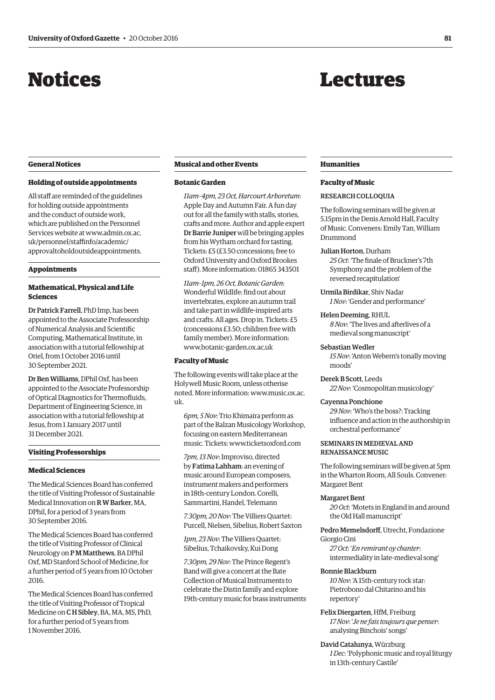## <span id="page-2-0"></span>Notices

## Lectures

#### **General Notices**

#### **Holding of outside appointments**

All staff are reminded of the guidelines for holding outside appointments and the conduct of outside work, which are published on the Personnel Services website at www.admin.ox.ac. uk/personnel/staffinfo/academic/ [approvaltoholdoutsideappointments.](www.admin.ox.ac.uk/personnel/staffinfo/academic/approvaltoholdoutsideappointments)

#### **Appointments**

#### **Mathematical, Physical and Life Sciences**

Dr Patrick Farrell, PhD Imp, has been appointed to the Associate Professorship of Numerical Analysis and Scientific Computing, Mathematical Institute, in association with a tutorial fellowship at Oriel, from 1 October 2016 until 30 September 2021.

Dr Ben Williams, DPhil Oxf, has been appointed to the Associate Professorship of Optical Diagnostics for Thermofluids, Department of Engineering Science, in association with a tutorial fellowship at Jesus, from 1 January 2017 until 31 December 2021.

#### **Visiting Professorships**

#### **Medical Sciences**

The Medical Sciences Board has conferred the title of Visiting Professor of Sustainable Medical Innovation on R W Barker, MA, DPhil, for a period of 3 years from 30 September 2016.

The Medical Sciences Board has conferred the title of Visiting Professor of Clinical Neurology on P M Matthews, BA DPhil Oxf, MD Stanford School of Medicine, for a further period of 5 years from 10 October 2016.

The Medical Sciences Board has conferred the title of Visiting Professor of Tropical Medicine on C H Sibley, BA, MA, MS, PhD, for a further period of 5 years from 1 November 2016.

#### **Musical and other Events**

#### **Botanic Garden**

*11am–4pm, 23 Oct, Harcourt Arboretum*: Apple Day and Autumn Fair. A fun day out for all the family with stalls, stories, crafts and more. Author and apple expert Dr Barrie Juniper will be bringing apples from his Wytham orchard for tasting. Tickets: £5 (£3.50 concessions; free to Oxford University and Oxford Brookes staff). More information: 01865 343501

*11am–1pm, 26 Oct, Botanic Garden*: Wonderful Wildlife: find out about invertebrates, explore an autumn trail and take part in wildlife-inspired arts and crafts. All ages. Drop in. Tickets: £5 (concessions £3.50; children free with family member). More information: [www.botanic-garden.ox.ac.uk](http://www.botanic-garden.ox.ac.uk)

#### **Faculty of Music**

The following events will take place at the Holywell Music Room, unless otherise [noted. More information: www.music.ox.ac.](www.music.ox.ac.uk) uk.

*6pm, 5 Nov*: Trio Khimaira perform as part of the Balzan Musicology Workshop, focusing on eastern Mediterranean music. Tickets: [www.ticketsoxford.com](http://www.ticketsoxford.com)

*7pm, 13 Nov*: Improviso, directed by Fatima Lahham: an evening of music around European composers, instrument makers and performers in 18th-century London. Corelli, Sammartini, Handel, Telemann

*7.30pm, 20 Nov*: The Villiers Quartet: Purcell, Nielsen, Sibelius, Robert Saxton

*1pm, 23 Nov*: The Villiers Quartet: Sibelius, Tchaikovsky, Kui Dong

*7.30pm, 29 Nov*: The Prince Regent's Band will give a concert at the Bate Collection of Musical Instruments to celebrate the Distin family and explore 19th-century music for brass instruments

#### **Humanities**

#### **Faculty of Music**

#### RESEARCH COLLOQUIA

The following seminars will be given at 5.15pm in the Denis Arnold Hall, Faculty of Music. Conveners: Emily Tan, William Drummond

#### Julian Horton, Durham

*25 Oct*: 'The finale of Bruckner's 7th Symphony and the problem of the reversed recapitulation'

Urmila Birdikar, Shiv Nadar *1 Nov*: 'Gender and performance'

#### Helen Deeming, RHUL

*8 Nov*: 'The lives and afterlives of a medieval song manuscript'

#### Sebastian Wedler

*15 Nov*: 'Anton Webern's tonally moving moods'

Derek B Scott, Leeds *22 Nov*: 'Cosmopolitan musicology'

#### Cayenna Ponchione

*29 Nov*: 'Who's the boss?: Tracking influence and action in the authorship in orchestral performance'

#### SEMINARS IN MEDIEVAL AND RENAISSANCE MUSIC

The following seminars will be given at 5pm in the Wharton Room, All Souls. Convener: Margaret Bent

#### Margaret Bent

*20 Oct*: 'Motets in England in and around the Old Hall manuscript'

Pedro Memelsdorff, Utrecht, Fondazione Giorgio Cini

*27 Oct*: '*En remirant oy chanter*: intermediality in late-medieval song'

#### Bonnie Blackburn

*10 Nov*: 'A 15th-century rock star: Pietrobono dal Chitarino and his repertory'

#### Felix Diergarten, HfM, Freiburg

*17 Nov*: '*Je ne fais toujours que penser*: analysing Binchois' songs'

David Catalunya, Würzburg *1 Dec*: 'Polyphonic music and royal liturgy in 13th-century Castile'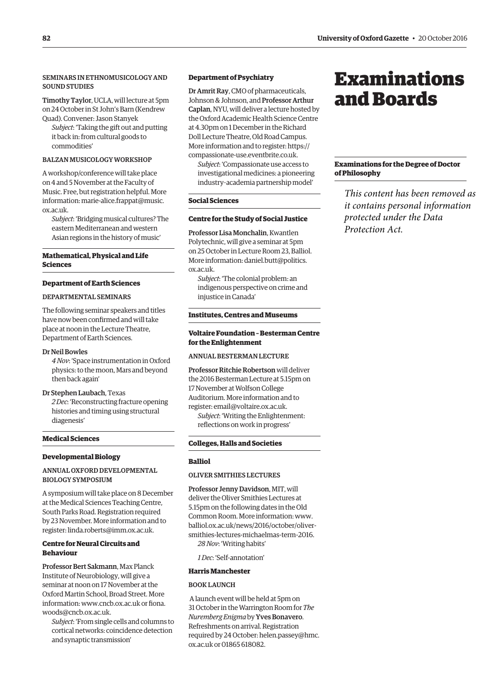### <span id="page-3-0"></span>SEMINARS IN ETHNOMUSICOLOGY AND SOUND STUDIES

Timothy Taylor, UCLA, will lecture at 5pm on 24 October in St John's Barn (Kendrew Quad). Convener: Jason Stanyek

*Subject*: 'Taking the gift out and putting it back in: from cultural goods to commodities'

#### BALZAN MUSICOLOGY WORKSHOP

A workshop/conference will take place on 4 and 5 November at the Faculty of Music. Free, but registration helpful. More [information: marie-alice.frappat@music.](mailto:marie-alice.frappat@music.ox.ac.uk) ox.ac.uk.

*Subject*: 'Bridging musical cultures? The eastern Mediterranean and western Asian regions in the history of music'

#### **Mathematical, Physical and Life Sciences**

#### **Department of Earth Sciences**

#### DEPARTMENTAL SEMINARS

The following seminar speakers and titles have now been confirmed and will take place at noon in the Lecture Theatre, Department of Earth Sciences.

#### Dr Neil Bowles

*4 Nov*: 'Space instrumentation in Oxford physics: to the moon, Mars and beyond then back again'

Dr Stephen Laubach, Texas

*2 Dec*: 'Reconstructing fracture opening histories and timing using structural diagenesis'

#### **Medical Sciences**

#### **Developmental Biology**

#### ANNUAL OXFORD DEVELOPMENTAL BIOLOGY SYMPOSIUM

A symposium will take place on 8 December at the Medical Sciences Teaching Centre, South Parks Road. Registration required by 23 November. More information and to register: [linda.roberts@imm.ox.ac.uk.](mailto:linda.roberts@imm.ox.ac.uk)

#### **Centre for Neural Circuits and Behaviour**

Professor Bert Sakmann, Max Planck Institute of Neurobiology, will give a seminar at noon on 17 November at the Oxford Martin School, Broad Street. More information: [www.cncb.ox.ac.uk or](http://www.cncb.ox.ac.uk) fiona. [woods@cncb.ox.ac.uk.](mailto:fiona.woods@cncb.ox.ac.uk)

*Subject*: 'From single cells and columns to cortical networks: coincidence detection and synaptic transmission'

#### **Department of Psychiatry**

Dr Amrit Ray, CMO of pharmaceuticals, Johnson & Johnson, and Professor Arthur Caplan, NYU, will deliver a lecture hosted by the Oxford Academic Health Science Centre at 4.30pm on 1 December in the Richard Doll Lecture Theatre, Old Road Campus. More information and to register: [https://](https://compassionate-use.eventbrite.co.uk) [compassionate-use.eventbrite.co.uk.](https://compassionate-use.eventbrite.co.uk)

*Subject*: 'Compassionate use access to investigational medicines: a pioneering industry–academia partnership model'

#### **Social Sciences**

#### **Centre for the Study of Social Justice**

Professor Lisa Monchalin, Kwantlen Polytechnic, will give a seminar at 5pm on 25 October in Lecture Room 23, Balliol. More information[: daniel.butt@politics.](mailto:daniel.butt@politics.ox.ac.uk) ox.ac.uk.

*Subject*: 'The colonial problem: an indigenous perspective on crime and injustice in Canada'

#### **Institutes, Centres and Museums**

#### **Voltaire Foundation – Besterman Centre for the Enlightenment**

#### ANNUAL BESTERMAN LECTURE

Professor Ritchie Robertson will deliver the 2016 Besterman Lecture at 5.15pm on 17 November at Wolfson College Auditorium. More information and to register: [email@voltaire.ox.ac.uk.](mailto:email@voltaire.ox.ac.uk) *Subject*: 'Writing the Enlightenment: reflections on work in progress'

#### **Colleges, Halls and Societies**

#### **Balliol**

#### OLIVER SMITHIES LECTURES

Professor Jenny Davidson, MIT, will deliver the Oliver Smithies Lectures at 5.15pm on the following dates in the Old Common Room. More information: [www.](http://www.balliol.ox.ac.uk/news/2016/october/oliver-smithies-lectures-michaelmas-term-2016) [balliol.ox.ac.uk/news/2016/october/oliver](http://www.balliol.ox.ac.uk/news/2016/october/oliver-smithies-lectures-michaelmas-term-2016)smithies-[lectures-michaelmas-term-2016.](http://www.balliol.ox.ac.uk/news/2016/october/oliver-smithies-lectures-michaelmas-term-2016) *28 Nov*: 'Writing habits'

*1 Dec*: 'Self-annotation'

#### **Harris Manchester**

#### BOOK LAUNCH

 A launch event will be held at 5pm on 31 October in the Warrington Room for *The Nuremberg Enigma* by Yves Bonavero. Refreshments on arrival. Registration [required by 24 October: helen.passey@hmc.](mailto:helen.passey@hmc.ox.ac.uk) ox.ac.uk or 01865 618082.

## Examinations and Boards

#### **Examinations for the Degree of Doctor of Philosophy**

*This content has been removed as it contains personal information protected under the Data Protection Act.*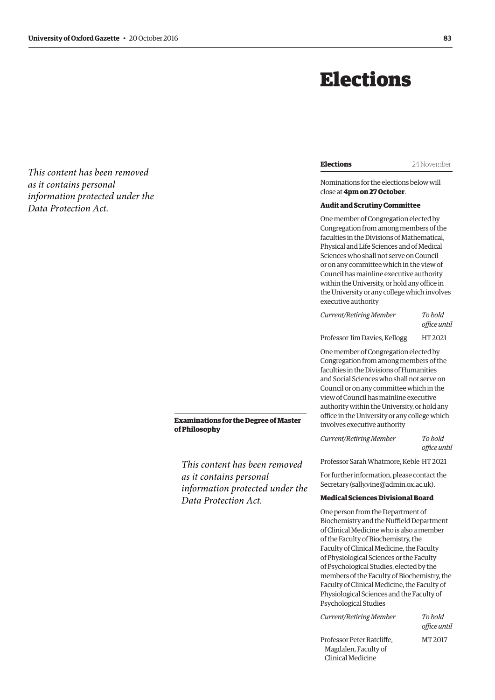## Elections

| <b>Elections</b> | 24 November |
|------------------|-------------|
|                  |             |

Nominations for the elections below will close at **4pm on 27 October**.

#### **Audit and Scrutiny Committee**

One member of Congregation elected by Congregation from among members of the faculties in the Divisions of Mathematical, Physical and Life Sciences and of Medical Sciences who shall not serve on Council or on any committee which in the view of Council has mainline executive authority within the University, or hold any office in the University or any college which involves executive authority

*Current/Retiring Member To hold office until* 

Professor Jim Davies, Kellogg HT 2021

One member of Congregation elected by Congregation from among members of the faculties in the Divisions of Humanities and Social Sciences who shall not serve on Council or on any committee which in the view of Council has mainline executive authority within the University, or hold any office in the University or any college which involves executive authority

*Current/Retiring Member To hold office until* 

Professor Sarah Whatmore, Keble HT 2021

For further information, please contact the Secretary ([sally.vine@admin.ox.ac.uk\).](mailto:sally.vine@admin.ox.ac.uk)

#### **Medical Sciences Divisional Board**

One person from the Department of Biochemistry and the Nuffield Department of Clinical Medicine who is also a member of the Faculty of Biochemistry, the Faculty of Clinical Medicine, the Faculty of Physiological Sciences or the Faculty of Psychological Studies, elected by the members of the Faculty of Biochemistry, the Faculty of Clinical Medicine, the Faculty of Physiological Sciences and the Faculty of Psychological Studies

*Current/Retiring Member To hold* 

*office until* 

Professor Peter Ratcliffe, MT 2017 Magdalen, Faculty of Clinical Medicine

<span id="page-4-0"></span>*This content has been removed as it contains personal information protected under the Data Protection Act.*

#### **Examinations for the Degree of Master of Philosophy**

*This content has been removed as it contains personal information protected under the Data Protection Act.*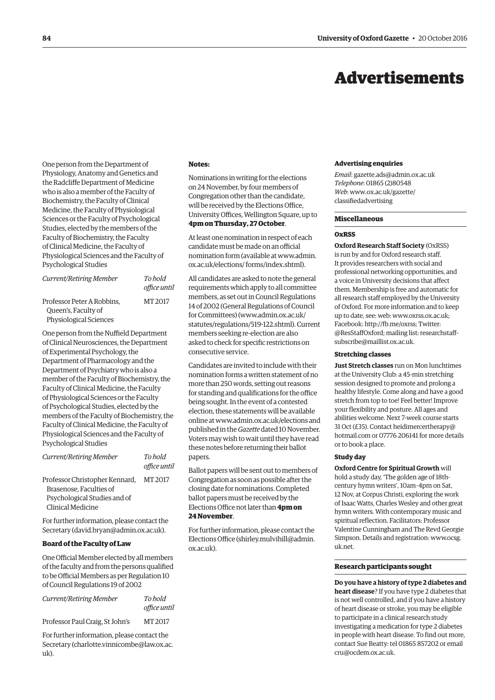## Advertisements

<span id="page-5-0"></span>One person from the Department of Physiology, Anatomy and Genetics and the Radcliffe Department of Medicine who is also a member of the Faculty of Biochemistry, the Faculty of Clinical Medicine, the Faculty of Physiological Sciences or the Faculty of Psychological Studies, elected by the members of the Faculty of Biochemistry, the Faculty of Clinical Medicine, the Faculty of Physiological Sciences and the Faculty of Psychological Studies

| Current/Retiring Member                                                            | To hold<br>office until |
|------------------------------------------------------------------------------------|-------------------------|
| Professor Peter A Robbins.<br>Queen's, Faculty of<br><b>Physiological Sciences</b> | MT 2017                 |

One person from the Nuffield Department of Clinical Neurosciences, the Department of Experimental Psychology, the Department of Pharmacology and the Department of Psychiatry who is also a member of the Faculty of Biochemistry, the Faculty of Clinical Medicine, the Faculty of Physiological Sciences or the Faculty of Psychological Studies, elected by the members of the Faculty of Biochemistry, the Faculty of Clinical Medicine, the Faculty of Physiological Sciences and the Faculty of Psychological Studies

| Current/Retiring Member                                                                                        | To hold<br>office until |
|----------------------------------------------------------------------------------------------------------------|-------------------------|
| Professor Christopher Kennard,<br>Brasenose. Faculties of<br>Psychological Studies and of<br>Clinical Medicine | MT 2017                 |

For further information, please contact the Secretary [\(david.bryan@admin.ox.ac.uk\).](mailto:david.bryan@admin.ox.ac.uk)

#### **Board of the Faculty of Law**

One Official Member elected by all members of the faculty and from the persons qualified to be Official Members as per Regulation 10 of Council Regulations 19 of 2002

| Current/Retiring Member         | To hold      |
|---------------------------------|--------------|
|                                 | office until |
| Professor Paul Craig, St John's | MT 2017      |

For further information, please contact the Secretary [\(charlotte.vinnicombe@law.ox.ac.](mailto:charlotte.vinnicombe@law.ox.ac.uk) [uk\).](mailto:charlotte.vinnicombe@law.ox.ac.uk)

#### **Notes:**

Nominations in writing for the elections on 24 November, by four members of Congregation other than the candidate, will be received by the Elections Office, University Offices, Wellington Square, up to **4pm on Thursday, 27 October**.

At least one nomination in respect of each candidate must be made on an official [nomination form \(available at www.admin.](www.admin.ox.ac.uk/elections/forms/index.shtml) ox.ac.uk/elections/ forms/index.shtml).

All candidates are asked to note the general requirements which apply to all committee members, as set out in Council Regulations 14 of 2002 (General Regulations of Council for Committees) [\(www.admin.ox.ac.uk/](http://www.admin.ox.ac.uk/statutes/regulations/519-122.shtml) [statutes/regulations/519-122.shtml\). Cu](http://www.admin.ox.ac.uk/statutes/regulations/519-122.shtml)rrent members seeking re-election are also asked to check for specific restrictions on consecutive service.

Candidates are invited to include with their nomination forms a written statement of no more than 250 words, setting out reasons for standing and qualifications for the office being sought. In the event of a contested election, these statements will be available online at [www.admin.ox.ac.uk/elections an](http://www.admin.ox.ac.uk/elections)d published in the *Gazette* dated 10 November. Voters may wish to wait until they have read these notes before returning their ballot papers.

Ballot papers will be sent out to members of Congregation as soon as possible after the closing date for nominations. Completed ballot papers must be received by the Elections Office not later than **4pm on 24 November**.

For further information, please contact the Elections Office ([shirley.mulvihill@admin.](mailto:shirley.mulvihill@admin.ox.ac.uk) [ox.ac.uk\).](mailto:shirley.mulvihill@admin.ox.ac.uk)

#### **Advertising enquiries**

*Email*: [gazette.ads@admin.ox.ac.uk](mailto:gazette.ads@admin.ox.ac.uk) *Telephone*: 01865 (2)80548 *Web*[: www.ox.ac.uk/gazette/](www.ox.ac.uk/gazette/classifiedadvertising) classifiedadvertising

#### **Miscellaneous**

#### **OxRSS**

**Oxford Research Staff Society** (OxRSS) is run by and for Oxford research staff. It provides researchers with social and professional networking opportunities, and a voice in University decisions that affect them. Membership is free and automatic for all research staff employed by the University of Oxford. For more information and to keep up to date, see: web: [www.oxrss.ox.ac.uk;](http://www.oxrss.ox.ac.uk)  Facebook: [http://fb.me/oxrss; Tw](http://fb.me/oxrss)itter: [@ResStaffOxford;](https://twitter.com/resstaffoxford) mailing list: researchstaff[subscribe@maillist.ox.ac.uk.](mailto:researchstaff-subscribe@maillist.ox.ac.uk)

#### **Stretching classes**

**Just Stretch classes** run on Mon lunchtimes at the University Club: a 45-min stretching session designed to promote and prolong a healthy lifestyle. Come along and have a good stretch from top to toe! Feel better! Improve your flexibility and posture. All ages and abilities welcome. Next 7-week course starts 31 Oct (£35). Contact [heidimercertherapy@](mailto:heidimercertherapy@hotmail.com) hotmail.com or 07776 206141 for more details or to book a place.

#### **Study day**

**Oxford Centre for Spiritual Growth** will hold a study day, 'The golden age of 18thcentury hymn writers', 10am–4pm on Sat, 12 Nov, at Corpus Christi, exploring the work of Isaac Watts, Charles Wesley and other great hymn writers. With contemporary music and spiritual reflection. Facilitators: Professor Valentine Cunningham and The Revd Georgie [Simpson. Details and registration: www.ocsg.](www.ocsg.uk.net) uk.net.

#### **Research participants sought**

**Do you have a history of type 2 diabetes and heart disease**? If you have type 2 diabetes that is not well controlled, and if you have a history of heart disease or stroke, you may be eligible to participate in a clinical research study investigating a medication for type 2 diabetes in people with heart disease. To find out more, contact Sue Beatty: tel 01865 857202 or email [cru@ocdem.ox.ac.uk.](mailto:cru@ocdem.ox.ac.uk)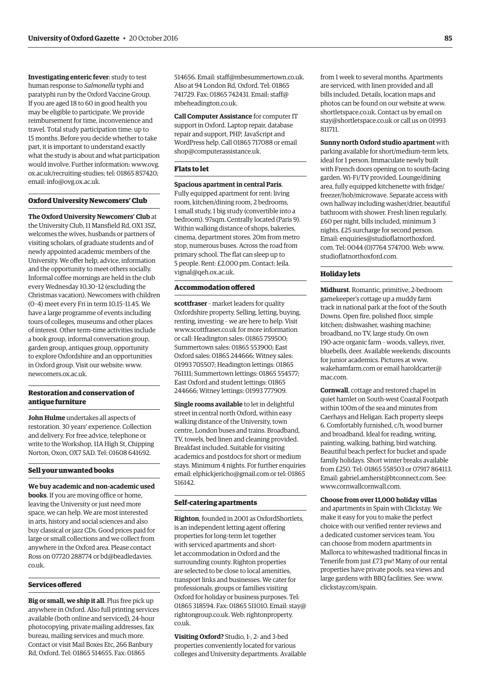**Investigating enteric fever**: study to test human response to *Salmonella* typhi and paratyphi run by the Oxford Vaccine Group. If you are aged 18 to 60 in good health you may be eligible to participate. We provide reimbursement for time, inconvenience and travel. Total study participation time: up to 15 months. Before you decide whether to take part, it is important to understand exactly what the study is about and what participation would involve. Further information: www.ovg. [ox.ac.uk/recruiting-studies; tel: 01865 857420;](www.ovg.ox.ac.uk/recruiting-studies)  email: [info@ovg.ox.ac.uk.](mailto:info@ovg.ox.ac.uk)

#### **Oxford University Newcomers' Club**

**The Oxford University Newcomers' Club** at the University Club, 11 Mansfield Rd, OX1 3SZ, welcomes the wives, husbands or partners of visiting scholars, of graduate students and of newly appointed academic members of the University. We offer help, advice, information and the opportunity to meet others socially. Informal coffee mornings are held in the club every Wednesday 10.30–12 (excluding the Christmas vacation). Newcomers with children (0–4) meet every Fri in term 10.15–11.45. We have a large programme of events including tours of colleges, museums and other places of interest. Other term-time activities include a book group, informal conversation group, garden group, antiques group, opportunity to explore Oxfordshire and an opportunities in Oxford group. Visit our website: [www.](http://www.newcomers.ox.ac.uk) [newcomers.ox.ac.uk.](http://www.newcomers.ox.ac.uk)

#### **Restoration and conservation of antique furniture**

**John Hulme** undertakes all aspects of restoration. 30 years' experience. Collection and delivery. For free advice, telephone or write to the Workshop, 11A High St, Chipping Norton, Oxon, OX7 5AD. Tel: 01608 641692.

#### **Sell your unwanted books**

**We buy academic and non-academic used books**. If you are moving office or home, leaving the University or just need more space, we can help. We are most interested in arts, history and social sciences and also buy classical or jazz CDs. Good prices paid for large or small collections and we collect from anywhere in the Oxford area. Please contact [Ross on 07720 288774 or bd@beadledavies.](mailto:bd@beadledavies.co.uk) co.uk.

#### **Services offered**

**Big or small, we ship it all**. Plus free pick up anywhere in Oxford. Also full printing services available (both online and serviced), 24-hour photocopying, private mailing addresses, fax bureau, mailing services and much more. Contact or visit Mail Boxes Etc, 266 Banbury Rd, Oxford. Tel: 01865 514655. Fax: 01865

514656. Email: [staff@mbesummertown.co.uk.](mailto:staff@mbesummertown.co.uk)  Also at 94 London Rd, Oxford. Tel: 01865 [741729. Fax: 01865 742431. Email: staff@](mailto:staff@mbeheadington.co.uk) mbeheadington.co.uk.

**Call Computer Assistance** for computer IT support in Oxford. Laptop repair, database repair and support, PHP, JavaScript and WordPress help. Call 01865 717088 or email [shop@computerassistance.uk.](mailto:shop@computerassistance.uk)

#### **Flats to let**

#### **Spacious apartment in central Paris**.

Fully equipped apartment for rent: living room, kitchen/dining room, 2 bedrooms, 1 small study, 1 big study (convertible into a bedroom). 97sqm. Centrally located (Paris 9). Within walking distance of shops, bakeries, cinema, department stores. 20m from metro stop, numerous buses. Across the road from primary school. The flat can sleep up to [5 people. Rent: £2,000 pm. Contact: leila.](mailto:leila.vignal@qeh.ox.ac.uk) vignal@qeh.ox.ac.uk.

#### **Accommodation offered**

**scottfraser** – market leaders for quality Oxfordshire property. Selling, letting, buying, renting, investing – we are here to help. Visit [www.scottfraser.co.uk fo](http://www.scottfraser.co.uk)r more information or call: Headington sales: 01865 759500; Summertown sales: 01865 553900; East Oxford sales: 01865 244666; Witney sales: 01993 705507; Headington lettings: 01865 761111; Summertown lettings: 01865 554577; East Oxford and student lettings: 01865 244666; Witney lettings: 01993 777909.

**Single rooms available** to let in delightful street in central north Oxford, within easy walking distance of the University, town centre, London buses and trains. Broadband, TV, towels, bed linen and cleaning provided. Breakfast included. Suitable for visiting academics and postdocs for short or medium stays. Minimum 4 nights. For further enquiries email: [elphickjericho@gmail.com or](mailto:elphickjericho@gmail.com) tel: 01865 516142.

#### **Self-catering apartments**

**Righton**, founded in 2001 as OxfordShortlets, is an independent letting agent offering properties for long-term let together with serviced apartments and shortlet accommodation in Oxford and the surrounding county. Righton properties are selected to be close to local amenities, transport links and businesses. We cater for professionals, groups or families visiting Oxford for holiday or business purposes. Tel: 01865 318594. Fax: 018[65 511010. Email: stay@](mailto:stay@rightongroup.co.uk) rightongroup.co.u[k. Web: rightonproperty.](www.rightonproperty.co.uk) co.uk.

**Visiting Oxford?** Studio, 1-, 2- and 3-bed properties conveniently located for various colleges and University departments. Available from 1 week to several months. Apartments are serviced, with linen provided and all bills included. Details, location maps and photos can be found on our website at [www.](http://www.shortletspace.co.uk) [shortletspace.co.uk. Co](http://www.shortletspace.co.uk)ntact us by email on [stay@shortletspace.co.uk or](mailto:stay@shortletspace.co.uk) call us on 01993 811711.

**Sunny north Oxford studio apartment** with parking available for short/medium-term lets, ideal for 1 person. Immaculate newly built with French doors opening on to south-facing garden. Wi-Fi/TV provided. Lounge/dining area, fully equipped kitchenette with fridge/ freezer/hob/microwave. Separate access with own hallway including washer/drier, beautiful bathroom with shower. Fresh linen regularly, £60 per night, bills included, minimum 3 nights. £25 surcharge for second person. Em[ail: enquiries@studioflatnorthoxford.](mailto:enquiries@studioflatnorthoxford.com) com. Tel: 0044 (0)7764 574700. Web: [www.](http://www.studioflatnorthoxford.com) [studioflatnorthoxford.com.](http://www.studioflatnorthoxford.com)

#### **Holiday lets**

**Midhurst**. Romantic, primitive, 2-bedroom gamekeeper's cottage up a muddy farm track in national park at the foot of the South Downs. Open fire, polished floor, simple kitchen; dishwasher, washing machine; broadband, no TV, large study. On own 190-acre organic farm – woods, valleys, river, bluebells, deer. Available weekends; discounts for junior academics. Pictures at [www.](http://www.wakehamfarm.com) [wakehamfarm.com or](http://www.wakehamfarm.com) [email haroldcarter@](mailto:haroldcarter@mac.com) mac.com.

**Cornwall**, cottage and restored chapel in quiet hamlet on South-west Coastal Footpath within 100m of the sea and minutes from Caerhays and Heligan. Each property sleeps 6. Comfortably furnished, c/h, wood burner and broadband. Ideal for reading, writing, painting, walking, bathing, bird watching. Beautiful beach perfect for bucket and spade family holidays. Short winter breaks available from £250. Tel: 01865 558503 or 07917 864113. Email: [gabriel.amherst@btconnect.com. Se](mailto:gabriel.amherst@btconnect.com)e: [www.cornwallcornwall.com.](http://www.cornwallcornwall.com)

#### **Choose from over 11,000 holiday villas**

and apartments in Spain with Clickstay. We make it easy for you to make the perfect choice with our verified renter reviews and a dedicated customer services team. You can choose from modern apartments in Mallorca to whitewashed traditional fincas in Tenerife from just £73 pw! Many of our rental properties have private pools, sea views and large gardens with BBQ facilities. See: [www.](http://www.clickstay.com/spain) [clickstay.com/spain.](http://www.clickstay.com/spain)